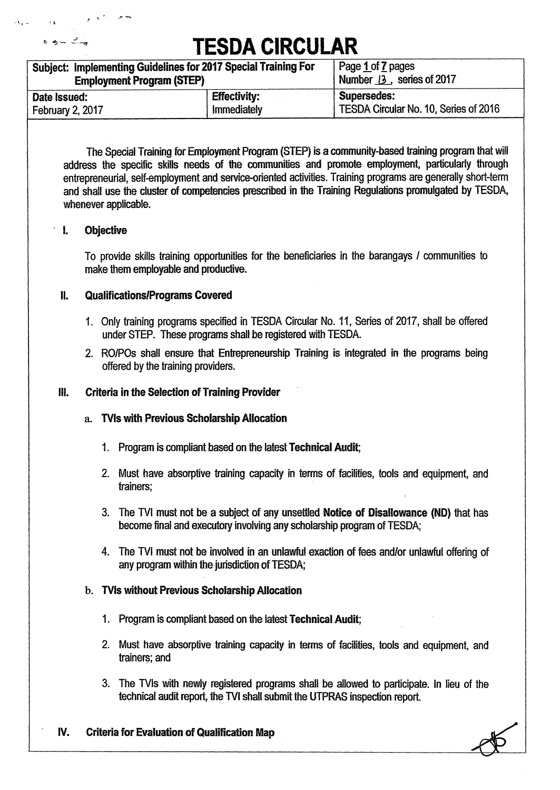| Subject: Implementing Guidelines for 2017 Special Training For | Page 1 of 7 pages         |                                       |
|----------------------------------------------------------------|---------------------------|---------------------------------------|
| <b>Employment Program (STEP)</b>                               | Number 13, series of 2017 |                                       |
| Date Issued:                                                   | <b>Effectivity:</b>       | Supersedes:                           |
| February 2, 2017                                               | Immediately               | TESDA Circular No. 10, Series of 2016 |

**The Special Training for Employment Program (STEP) is a community-based training program that will address the specific skills needs of the communities and promote employment, particularly through entrepreneurial, self-employment and service-oriented activities. Training programs are generally short-term and shall use the cluster of competencies prescribed in the Training Regulations promulgated by TESDA, whenever applicable.** 

### **' 1. Objective**

یک جس ک

**To provide skills training opportunities for the beneficiaries in the barangays I communities to make them employable and productive.** 

### **IL Qualifications/Programs Covered**

- **1. Only training programs specified in TESDA Circular No. 11, Series of 2017, shall be offered under STEP. These programs shall be registered with TESDA.**
- **2. RO/POs shall ensure that Entrepreneurship Training is integrated in the programs being offered by the training providers.**

### **111. Criteria in the Selection of Training Provider**

- **a. TVIs with Previous Scholarship Allocation** 
	- **1. Program is compliant based on the latest Technical Audit;**
	- **2. Must have absorptive training capacity in terms of facilities, tools and equipment, and trainers;**
	- 3. The TVI must not be a subject of any unsettled **Notice of Disallowance (ND)** that has **become final and executory involving any scholarship program of TESDA;**
	- 4. The TVI must not be involved in an unlawful exaction of fees and/or unlawful offering of **any program within the jurisdiction of TESDA;**

#### **b. TVIs without Previous Scholarship Allocation**

- **1. Program is compliant based on the latest Technical Audit;**
- **2. Must have absorptive training capacity in terms of facilities, tools and equipment, and trainers; and**
- 3. The TVIs with newly registered programs shall be allowed to participate. In lieu of the technical audit report, the TVI shall submit the UTPRAS inspection report.
- **IV. Criteria for Evaluation of Qualification Map**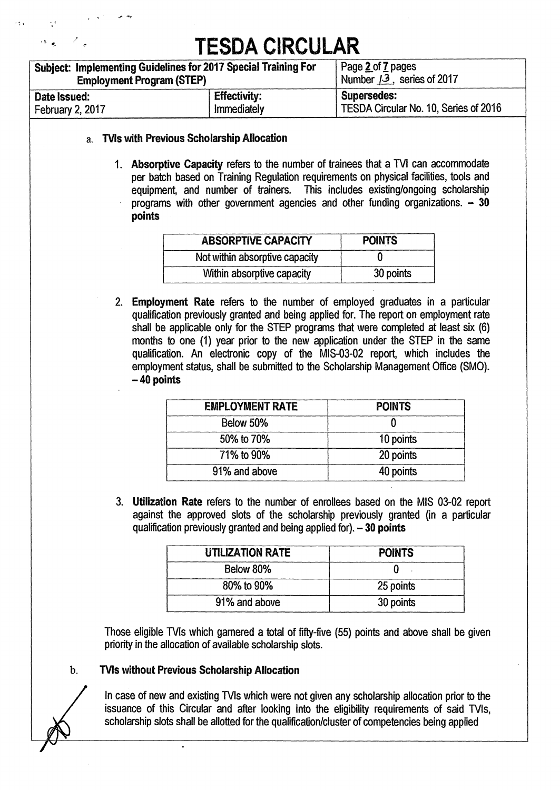| Subject: Implementing Guidelines for 2017 Special Training For | Page 2 of 7 pages                  |                                       |
|----------------------------------------------------------------|------------------------------------|---------------------------------------|
| <b>Employment Program (STEP)</b>                               | Number $\sqrt{3}$ , series of 2017 |                                       |
| Date Issued:                                                   | <b>Effectivity:</b>                | <b>Supersedes:</b>                    |
| February 2, 2017                                               | Immediately                        | TESDA Circular No. 10, Series of 2016 |

#### **a. Ms with Previous Scholarship Allocation**

**1. Absorptive Capacity refers to the number of trainees that a TVI can accommodate per batch based on Training Regulation requirements on physical facilities, tools and equipment, and number of trainers. This includes existing/ongoing scholarship programs with other government agencies and other funding organizations. — 30 points** 

| <b>ABSORPTIVE CAPACITY</b>     | <b>POINTS</b> |
|--------------------------------|---------------|
| Not within absorptive capacity |               |
| Within absorptive capacity     | 30 points     |

**2. Employment Rate refers to the number of employed graduates in a particular qualification previously granted and being applied for. The report on employment rate**  shall be applicable only for the STEP programs that were completed at least six (6) **months to one (1) year prior to the new application under the STEP in the same qualification. An electronic copy of the MIS-03-02 report, which includes the employment status, shall be submitted to the Scholarship Management Office (SMO). — 40 points** 

| <b>EMPLOYMENT RATE</b> | <b>POINTS</b> |
|------------------------|---------------|
| Below 50%              |               |
| 50% to 70%             | 10 points     |
| 71% to 90%             | 20 points     |
| 91% and above          | 40 points     |

**3. Utilization Rate refers to the number of enrollees based on the MIS 03-02 report against the approved slots of the scholarship previously granted (in a particular qualification previously granted and being applied for). — 30 points** 

| <b>UTILIZATION RATE</b> | <b>POINTS</b> |
|-------------------------|---------------|
| Below 80%               |               |
| 80% to 90%              | 25 points     |
| 91% and above           | 30 points     |

**Those eligible TVIs which garnered a total of fifty-five (55) points and above shall be given priority in the allocation of available scholarship slots.** 

#### **b. TVIs without Previous Scholarship Allocation**

**In case of new and existing TVIs which were not given any scholarship allocation prior to the issuance of this Circular and after looking into the eligibility requirements of said TVIs, scholarship slots shall be allotted for the qualification/cluster of competencies being applied**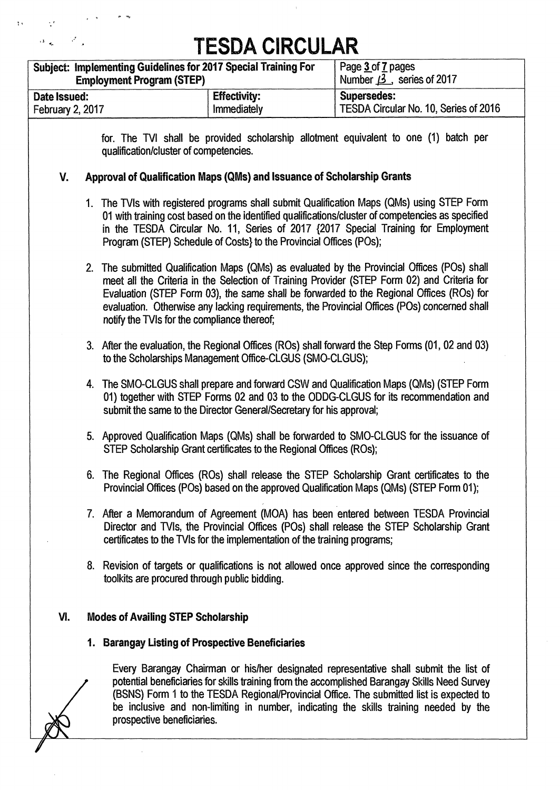$\bar{\gamma}$ 

|                                  | <b>Employment Program (STEP)</b>          | Subject: Implementing Guidelines for 2017 Special Training For            | Page 3 of 7 pages<br>Number $\cancel{3}$ , series of 2017                                                                                                                                                                                                                                                                                                                               |
|----------------------------------|-------------------------------------------|---------------------------------------------------------------------------|-----------------------------------------------------------------------------------------------------------------------------------------------------------------------------------------------------------------------------------------------------------------------------------------------------------------------------------------------------------------------------------------|
| Date Issued:<br>February 2, 2017 |                                           | <b>Effectivity:</b><br>Immediately                                        | <b>Supersedes:</b><br>TESDA Circular No. 10, Series of 2016                                                                                                                                                                                                                                                                                                                             |
|                                  | qualification/cluster of competencies.    |                                                                           | for. The TVI shall be provided scholarship allotment equivalent to one (1) batch per                                                                                                                                                                                                                                                                                                    |
| V.                               |                                           | Approval of Qualification Maps (QMs) and Issuance of Scholarship Grants   |                                                                                                                                                                                                                                                                                                                                                                                         |
|                                  |                                           | Program (STEP) Schedule of Costs} to the Provincial Offices (POs);        | 1. The TVIs with registered programs shall submit Qualification Maps (QMs) using STEP Form<br>01 with training cost based on the identified qualifications/cluster of competencies as specified<br>in the TESDA Circular No. 11, Series of 2017 {2017 Special Training for Employment                                                                                                   |
|                                  |                                           | notify the TVIs for the compliance thereof;                               | 2. The submitted Qualification Maps (QMs) as evaluated by the Provincial Offices (POs) shall<br>meet all the Criteria in the Selection of Training Provider (STEP Form 02) and Criteria for<br>Evaluation (STEP Form 03), the same shall be forwarded to the Regional Offices (ROs) for<br>evaluation. Otherwise any lacking requirements, the Provincial Offices (POs) concerned shall |
|                                  |                                           | to the Scholarships Management Office-CLGUS (SMO-CLGUS);                  | 3. After the evaluation, the Regional Offices (ROs) shall forward the Step Forms (01, 02 and 03)                                                                                                                                                                                                                                                                                        |
|                                  |                                           | submit the same to the Director General/Secretary for his approval;       | 4. The SMO-CLGUS shall prepare and forward CSW and Qualification Maps (QMs) (STEP Form<br>01) together with STEP Forms 02 and 03 to the ODDG-CLGUS for its recommendation and                                                                                                                                                                                                           |
|                                  |                                           | STEP Scholarship Grant certificates to the Regional Offices (ROs);        | 5. Approved Qualification Maps (QMs) shall be forwarded to SMO-CLGUS for the issuance of                                                                                                                                                                                                                                                                                                |
|                                  |                                           |                                                                           | 6. The Regional Offices (ROs) shall release the STEP Scholarship Grant certificates to the<br>Provincial Offices (POs) based on the approved Qualification Maps (QMs) (STEP Form 01);                                                                                                                                                                                                   |
|                                  |                                           | certificates to the TVIs for the implementation of the training programs; | 7. After a Memorandum of Agreement (MOA) has been entered between TESDA Provincial<br>Director and TVIs, the Provincial Offices (POs) shall release the STEP Scholarship Grant                                                                                                                                                                                                          |
|                                  |                                           | toolkits are procured through public bidding.                             | 8. Revision of targets or qualifications is not allowed once approved since the corresponding                                                                                                                                                                                                                                                                                           |
| VI.                              | <b>Modes of Availing STEP Scholarship</b> |                                                                           |                                                                                                                                                                                                                                                                                                                                                                                         |
|                                  |                                           | 1. Barangay Listing of Prospective Beneficiaries                          |                                                                                                                                                                                                                                                                                                                                                                                         |
|                                  | prospective beneficiaries.                |                                                                           | Every Barangay Chairman or his/her designated representative shall submit the list of<br>potential beneficiaries for skills training from the accomplished Barangay Skills Need Survey<br>(BSNS) Form 1 to the TESDA Regional/Provincial Office. The submitted list is expected to<br>be inclusive and non-limiting in number, indicating the skills training needed by the             |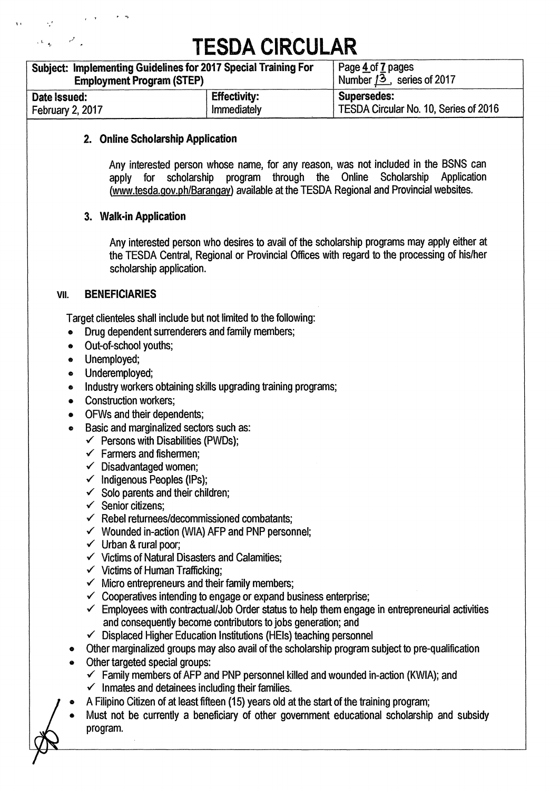| Subject: Implementing Guidelines for 2017 Special Training For | Page 4 of 7 pages            |                                       |  |  |
|----------------------------------------------------------------|------------------------------|---------------------------------------|--|--|
| <b>Employment Program (STEP)</b>                               | Number $13$ , series of 2017 |                                       |  |  |
| Date Issued:                                                   | <b>Effectivity:</b>          | <b>Supersedes:</b>                    |  |  |
| February 2, 2017                                               | Immediately                  | TESDA Circular No. 10, Series of 2016 |  |  |

## **2. Online Scholarship Application**

**Any interested person whose name, for any reason, was not included in the BSNS can**  apply for scholarship program through the Online (www.tesda.gov.ph/Barangay) available at the TESDA Regional and Provincial websites.

### **3. Walk-in Application**

**Any interested person who desires to avail of the scholarship programs may apply either at the TESDA Central, Regional or Provincial Offices with regard to the processing of his/her scholarship application.** 

### vu. **BENEFICIARIES**

 $\mathcal{L}^{\text{L}}$  , and  $\mathcal{L}^{\text{L}}$  , and

**Target clienteles shall include but not limited to the following:** 

- **Drug dependent surrenderers and family members;**
- **® Out-of-school youths;**
- **Unemployed;**
- **Underemployed;**
- **® Industry workers obtaining skills upgrading training programs;**
- **Construction workers;**
- **® OFWs and their dependents;**
- **Basic and marginalized sectors such as:** 
	- **1 Persons with Disabilities (PWDs);**
	- **1 Farmers and fishermen;**
	- **1 Disadvantaged women;**
	- **1 Indigenous Peoples (IPs);**
	- **1 Solo parents and their children;**
	- **1 Senior citizens;**
	- **1 Rebel returnees/decommissioned combatants;**
	- **1 Wounded in-action (WIA) AFP and PNP personnel;**
	- **1 Urban & rural poor;**
	- **1 Victims of Natural Disasters and Calamities;**
	- **1 Victims of Human Trafficking;**
	- **1 Micro entrepreneurs and their family members;**
	- **1 Cooperatives intending to engage or expand business enterprise;**
	- **1 Employees with contractual/Job Order status to help them engage in entrepreneurial activities and consequently become contributors to jobs generation; and**
	- **I Displaced Higher Education Institutions (HEls) teaching personnel**
- **Other marginalized groups may also avail of the scholarship program subject to pre-qualification**
- **Other targeted special groups:** 
	- **1 Family members of AFP and PNP personnel killed and wounded in-action (KWIA); and**
	- **1 Inmates and detainees including their families.**
- **® A Filipino Citizen of at least fifteen (15) years old at the start of the training program;**
- **® Must not be currently a beneficiary of other government educational scholarship and subsidy program.**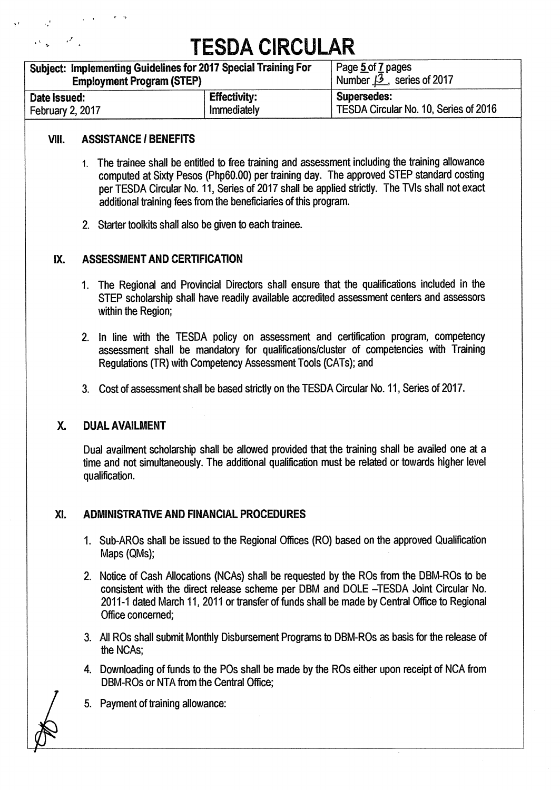| Subject: Implementing Guidelines for 2017 Special Training For | Page 5 of 7 pages               |                                       |
|----------------------------------------------------------------|---------------------------------|---------------------------------------|
| <b>Employment Program (STEP)</b>                               | Number $\beta$ , series of 2017 |                                       |
| Date Issued:                                                   | <b>Effectivity:</b>             | <b>Supersedes:</b>                    |
| February 2, 2017                                               | Immediately                     | TESDA Circular No. 10, Series of 2016 |

## **VIII. ASSISTANCE I BENEFITS**

- **1. The trainee shall be entitled to free training and assessment including the training allowance computed at Sixty Pesos (Php60.00) per training day. The approved STEP standard costing per TESDA Circular No. 11, Series of 2017 shall be applied strictly. The TVIs shall not exact additional training fees from the beneficiaries of this program.**
- **2. Starter toolkits shall also be given to each trainee.**

## **IX. ASSESSMENT AND CERTIFICATION**

- **1. The Regional and Provincial Directors shall ensure that the qualifications included in the STEP scholarship shall have readily available accredited assessment centers and assessors within the Region;**
- **2. In line with the TESDA policy on assessment and certification program, competency assessment shall be mandatory for qualifications/cluster of competencies with Training Regulations (TR) with Competency Assessment Tools (CATs); and**
- **3. Cost of assessment shall be based strictly on the TESDA Circular No. 11, Series of 2017.**

## **X. DUAL AVAILMENT**

**Dual availment scholarship shall be allowed provided that the training shall be availed one at a time and not simultaneously. The additional qualification must be related or towards higher level qualification.** 

## **XI. ADMINISTRATIVE AND FINANCIAL PROCEDURES**

- 1. Sub-AROs shall be issued to the Regional Offices (RO) based on the approved Qualification **Maps (QMs);**
- **2. Notice of Cash Allocations (NCAs) shall be requested by the ROs from the DBM-ROs to be consistent with the direct release scheme per DBM and DOLE —TESDA Joint Circular No. 2011-1 dated March 11, 2011 or transfer of funds shall be made by Central Office to Regional Office concerned;**
- **3. All ROs shall submit Monthly Disbursement Programs to DBM-ROs as basis for the release of the NCAs;**
- **4. Downloading of funds to the POs shall be made by the ROs either upon receipt of NCA from DBM-ROs or NTA from the Central Office;**
- **5. Payment of training allowance:**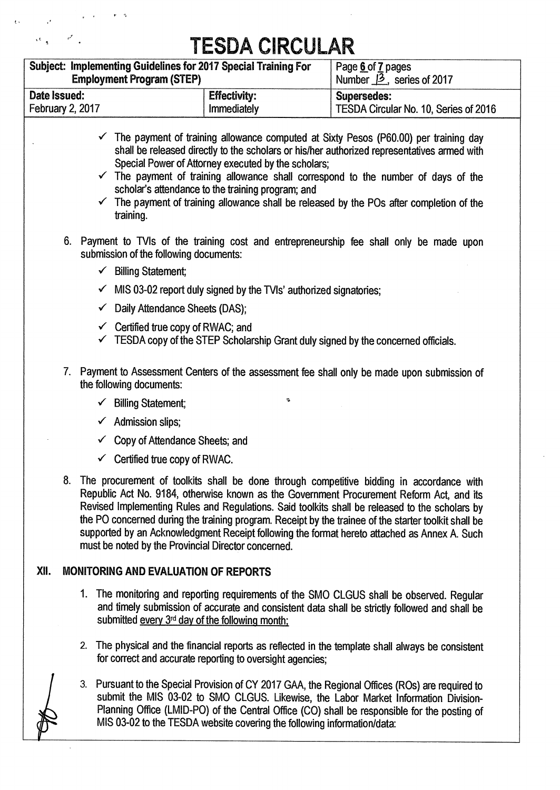| Subject: Implementing Guidelines for 2017 Special Training For<br><b>Employment Program (STEP)</b> |                     | Page 6 of 7 pages<br>Number $\cancel{13}$ , series of 2017 |  |  |
|----------------------------------------------------------------------------------------------------|---------------------|------------------------------------------------------------|--|--|
| Date Issued:                                                                                       | <b>Effectivity:</b> | <b>Supersedes:</b>                                         |  |  |
| <b>February 2, 2017</b>                                                                            | Immediately         | TESDA Circular No. 10, Series of 2016                      |  |  |

- **1 The payment of training allowance computed at Sixty Pesos (P60.00) per training day shall be released directly to the scholars or his/her authorized representatives armed with Special Power of Attorney executed by the scholars;**
- $\checkmark$  The payment of training allowance shall correspond to the number of days of the **scholar's attendance to the training program; and**
- $\checkmark$  The payment of training allowance shall be released by the POs after completion of the **training.**
- **6. Payment to TVIs of the training cost and entrepreneurship fee shall only be made upon submission of the following documents:** 
	- **1 Billing Statement;**
	- **1 MIS 03-02 report duly signed by the TVls' authorized signatories;**
	- **1 Daily Attendance Sheets (DAS);**
	- **1 Certified true copy of RWAC; and**
	- **1 TESDA copy of the STEP Scholarship Grant duly signed by the concerned officials.**
- **7. Payment to Assessment Centers of the assessment fee shall only be made upon submission of the following documents:** 
	- **1 Billing Statement;**
	- **1 Admission slips;**
	- **1 Copy of Attendance Sheets; and**
	- **1 Certified true copy of RWAC.**
- **8. The procurement of toolkits shall be done through competitive bidding in accordance with Republic Act No. 9184, otherwise known as the Government Procurement Reform Act, and its Revised Implementing Rules and Regulations. Said toolkits shall be released to the scholars by the PO concerned during the training program. Receipt by the trainee of the starter toolkit shall be supported by an Acknowledgment Receipt following the format hereto attached as Annex A. Such must be noted by the Provincial Director concerned.**

## **XII. MONITORING AND EVALUATION OF REPORTS**

- **1. The monitoring and reporting requirements of the SMO CLGUS shall be observed. Regular and timely submission of accurate and consistent data shall be strictly followed and shall be**  submitted every 3<sup>rd</sup> day of the following month;
- **2. The physical and the financial reports as reflected in the template shall always be consistent for correct and accurate reporting to oversight agencies;**
- 3. Pursuant to the Special Provision of CY 2017 GAA, the Regional Offices (ROs) are required to **submit the MIS 03-02 to SMO CLGUS. Likewise, the Labor Market Information Division-Planning Office (LMID-PO) of the Central Office (CO) shall be responsible for the posting of MIS 03-02 to the TESDA website covering the following information/data:**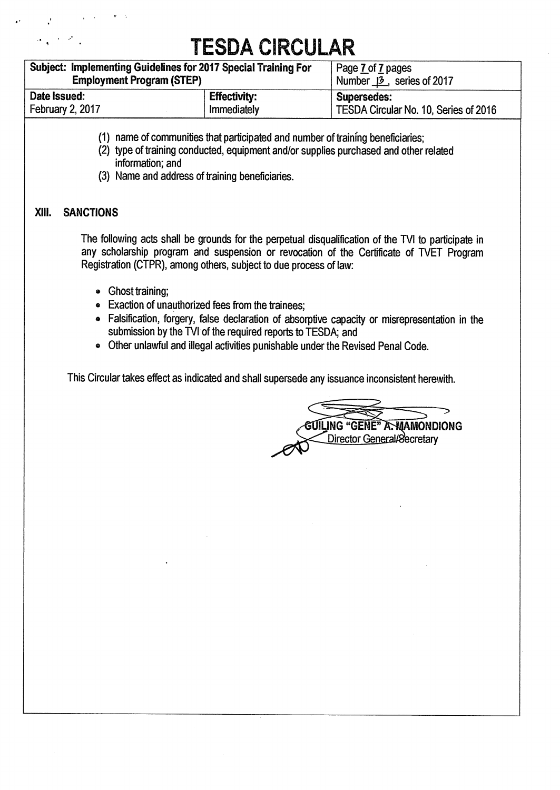| Subject: Implementing Guidelines for 2017 Special Training For<br><b>Employment Program (STEP)</b> |                     | Page 7 of 7 pages<br>Number $\beta$ , series of 2017 |  |  |  |
|----------------------------------------------------------------------------------------------------|---------------------|------------------------------------------------------|--|--|--|
| Date Issued:                                                                                       | <b>Effectivity:</b> | <b>Supersedes:</b>                                   |  |  |  |
| <b>February 2, 2017</b>                                                                            | Immediately         | TESDA Circular No. 10, Series of 2016                |  |  |  |

- **(1) name of communities that participated and number of training beneficiaries;**
- **(2) type of training conducted, equipment and/or supplies purchased and other related information; and**
- **(3) Name and address of training beneficiaries.**

## **mu. SANCTIONS**

The following acts shall be grounds for the perpetual disqualification of the TVI to participate in **any scholarship program and suspension or revocation of the Certificate of WET Program Registration (CTPR), among others, subject to due process of law:** 

- **Ghost training;**
- **O Exaction of unauthorized fees from the trainees;**
- **® Falsification, forgery, false declaration of absorptive capacity or misrepresentation in the**  submission by the TVI of the required reports to TESDA; and
- **Other unlawful and illegal activities punishable under the Revised Penal Code.**

**This Circular takes effect as indicated and shall supersede any issuance inconsistent herewith.** 

**AMAMONDIONG Director General/Secretary**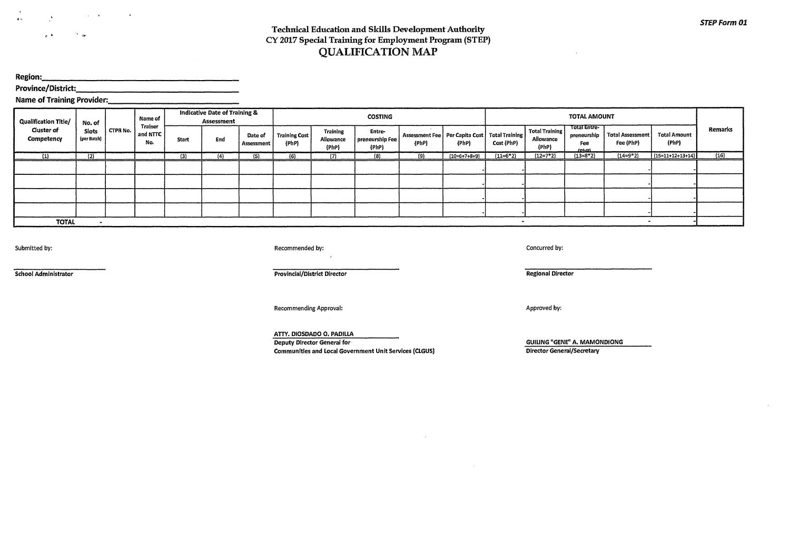$\mathcal{O}(\mathcal{A})$  $6 - 4$ 

#### **Technical Education and Skills Development Authority CY 2017 Special Training for Employment Program (STEP) QUALIFICATION MAP**

**Region:** 

**Province/District:** 

**Name of Training Provider:** 

| <b>Qualification Title/</b>     | No. of               |          | Name of                           |       | <b>Indicative Date of Training &amp;</b><br>Assessment |                       |                               | <b>TOTAL AMOUNT</b><br><b>COSTING</b> |                                    |                                                              |                |            |                                      |                                                   |                                      |                              |         |
|---------------------------------|----------------------|----------|-----------------------------------|-------|--------------------------------------------------------|-----------------------|-------------------------------|---------------------------------------|------------------------------------|--------------------------------------------------------------|----------------|------------|--------------------------------------|---------------------------------------------------|--------------------------------------|------------------------------|---------|
| <b>Cluster of</b><br>Competency | Slots<br>(per Batch) | CTPR No. | <b>Trainer</b><br>and NTTC<br>No. | Start | End                                                    | Date of<br>Assessment | <b>Training Cost</b><br>(PhP) | <b>Training</b><br>Allowance<br>(PhP) | Entre-<br>preneurship Fee<br>(PhP) | Assessment Fee   Per Capita Cost   Total Training  <br>(PhP) | (PhP)          | Cost (PhP) | Total Training<br>Allowance<br>(PhP) | Total Entre-<br>preneurship<br>Fee<br><b>John</b> | <b>Total Assessment</b><br>Fee (PhP) | <b>Total Amount</b><br>(PhP) | Remarks |
| (1)                             | (2)                  |          |                                   | (3)   | (4)                                                    | (5)                   | 161                           |                                       | (8)                                | (9)                                                          | $(10=6+7+8+9)$ | $(11=6*2)$ | (12=7*2)                             | $(13=8*2)$                                        | $(14=9*2)$                           | $(15=11+12+13+14)$           | (16)    |
|                                 |                      |          |                                   |       |                                                        |                       |                               |                                       |                                    |                                                              |                |            |                                      |                                                   |                                      |                              |         |
|                                 |                      |          |                                   |       |                                                        |                       |                               |                                       |                                    |                                                              |                |            |                                      |                                                   |                                      |                              |         |
|                                 |                      |          |                                   |       |                                                        |                       |                               |                                       |                                    |                                                              |                |            |                                      |                                                   |                                      |                              |         |
|                                 |                      |          |                                   |       |                                                        |                       |                               |                                       |                                    |                                                              |                |            |                                      |                                                   |                                      |                              |         |
| <b>TOTAL</b>                    |                      |          |                                   |       |                                                        |                       |                               |                                       |                                    |                                                              |                |            |                                      |                                                   |                                      |                              |         |

Submitted by: Recommended by: Concurred by:

**School Administrator Provincial/District Director Provincial/District Director** 

 $\sim$ 

Recommending Approval:

**ATTY. DIOSDADO 0. PADILLA Deputy Director General for Communities and Local Government Unit Services (CLGUS)** 

**Regional Director** 

Approved by:

**GUILING "GENE" A. MAMONDIONG** 

 $\sim$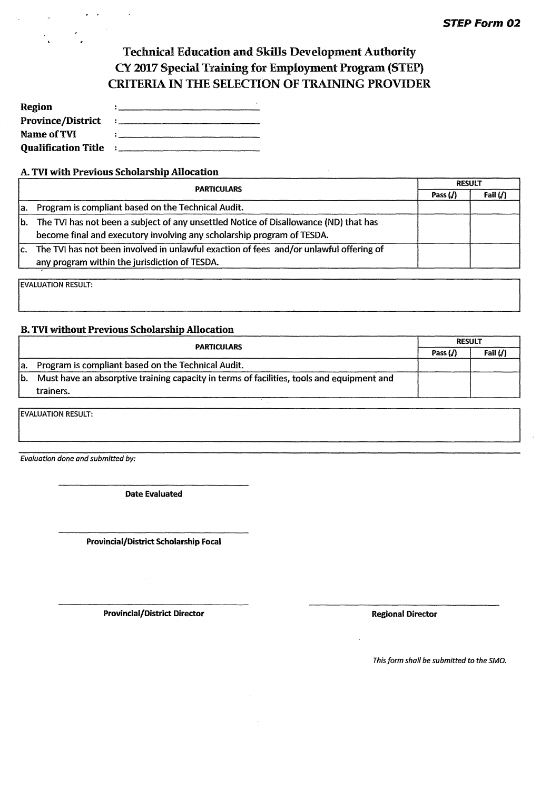## **Technical Education and Skills Development Authority CY 2017 Special Training for Employment Program (STEP) CRITERIA IN THE SELECTION OF TRAINING PROVIDER**

| Region                     |                                          |
|----------------------------|------------------------------------------|
| <b>Province/District</b>   | $\vdots$ . The contract of $\mathcal{C}$ |
| Name of TVI                |                                          |
| <b>Qualification Title</b> | $\sim 200$                               |

#### **A. TV! with Previous Scholarship Allocation**

|     | <b>PARTICULARS</b>                                                                     |            | <b>RESULT</b> |  |
|-----|----------------------------------------------------------------------------------------|------------|---------------|--|
|     |                                                                                        | Pass $(J)$ | Fail $(j)$    |  |
| la. | Program is compliant based on the Technical Audit.                                     |            |               |  |
| lb. | The TVI has not been a subject of any unsettled Notice of Disallowance (ND) that has   |            |               |  |
|     | become final and executory involving any scholarship program of TESDA.                 |            |               |  |
| lc. | The TVI has not been involved in unlawful exaction of fees and/or unlawful offering of |            |               |  |
|     | any program within the jurisdiction of TESDA.                                          |            |               |  |

**EVALUATION RESULT:** 

#### **B. TVI without Previous Scholarship Allocation**

|     | <b>PARTICULARS</b>                                                                        |            | <b>RESULT</b> |  |  |
|-----|-------------------------------------------------------------------------------------------|------------|---------------|--|--|
|     |                                                                                           | Pass $(J)$ | Fail $(J)$    |  |  |
| la. | Program is compliant based on the Technical Audit.                                        |            |               |  |  |
| lb. | Must have an absorptive training capacity in terms of facilities, tools and equipment and |            |               |  |  |
|     | trainers.                                                                                 |            |               |  |  |
|     |                                                                                           |            |               |  |  |

**EVALUATION RESULT:** 

**Evaluation done and submitted by:** 

**Date Evaluated** 

**Provincial/District Scholarship Focal** 

**Provincial/District Director Constanting Constanting Provincial/Director Regional Director** 

**This form shall be submitted to the SMO.**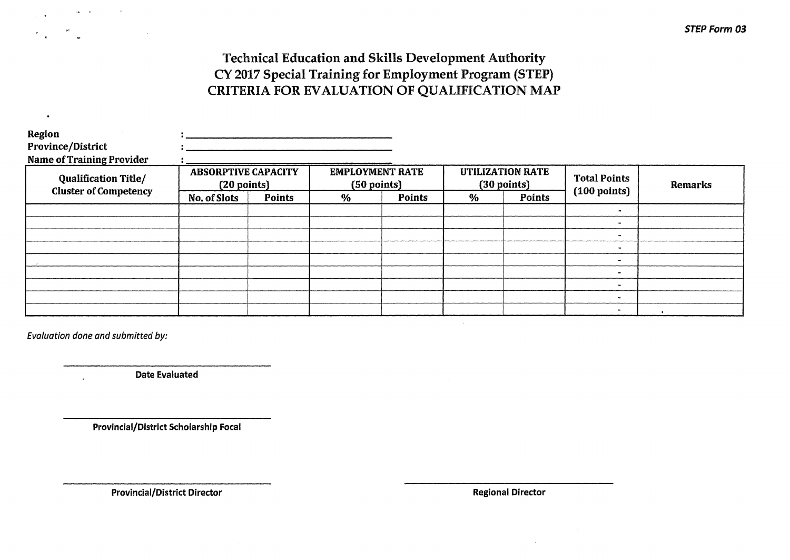## **Technical Education and Skills Development Authority CY 2017 Special Training for Employment Program (STEP) CRITERIA FOR EVALUATION OF QUALIFICATION MAP**

| Region<br><b>Province/District</b><br><b>Name of Training Provider</b> |                                                     |               |                                                 |        |                                        |        |                        |         |
|------------------------------------------------------------------------|-----------------------------------------------------|---------------|-------------------------------------------------|--------|----------------------------------------|--------|------------------------|---------|
| <b>Qualification Title/</b>                                            | <b>ABSORPTIVE CAPACITY</b><br>$(20 \text{ points})$ |               | <b>EMPLOYMENT RATE</b><br>$(50 \text{ points})$ |        | <b>UTILIZATION RATE</b><br>(30 points) |        | <b>Total Points</b>    | Remarks |
| <b>Cluster of Competency</b>                                           | No. of Slots                                        | <b>Points</b> | $\%$                                            | Points | $\%$                                   | Points | $(100 \text{ points})$ |         |
|                                                                        |                                                     |               |                                                 |        |                                        |        |                        |         |
|                                                                        |                                                     |               |                                                 |        |                                        |        | $\bullet$              |         |
|                                                                        |                                                     |               |                                                 |        |                                        |        | $\blacksquare$         |         |
|                                                                        |                                                     |               |                                                 |        |                                        |        |                        |         |
|                                                                        |                                                     |               |                                                 |        |                                        |        | $\bullet$              |         |
|                                                                        |                                                     |               |                                                 |        |                                        |        | $\blacksquare$         |         |
|                                                                        |                                                     |               |                                                 |        |                                        |        | ۰                      |         |
|                                                                        |                                                     |               |                                                 |        |                                        |        | -                      |         |
|                                                                        |                                                     |               |                                                 |        |                                        |        |                        |         |

**Evaluation done and submitted by:** 

 $\bullet$ 

**Date Evaluated** 

**Provincial/District Scholarship Focal** 

**Provincial/District Director** *Director* **Regional Director Regional Director**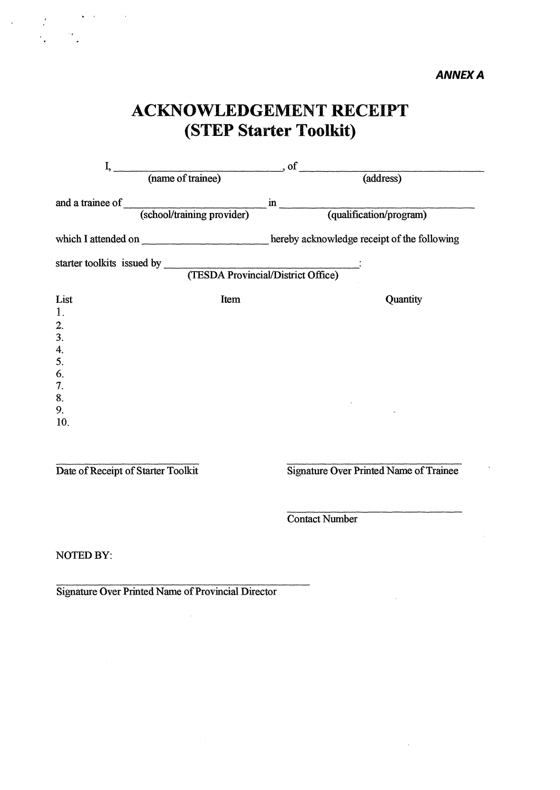## **ACKNOWLEDGEMENT RECEIPT (STEP Starter Toolkit)**

| I,        |                                                                                          |                                                   |          |  |  |  |  |
|-----------|------------------------------------------------------------------------------------------|---------------------------------------------------|----------|--|--|--|--|
|           | (name of trainee) of                                                                     | (address)                                         |          |  |  |  |  |
|           | and a trainee of (school/training provider)                                              | $\overline{\text{in}}$<br>(qualification/program) |          |  |  |  |  |
|           | which I attended on _________________________hereby acknowledge receipt of the following |                                                   |          |  |  |  |  |
|           |                                                                                          |                                                   |          |  |  |  |  |
| List      | Item                                                                                     |                                                   | Quantity |  |  |  |  |
| 1.        |                                                                                          |                                                   |          |  |  |  |  |
| 2.        |                                                                                          |                                                   |          |  |  |  |  |
| 3.<br>4.  |                                                                                          |                                                   |          |  |  |  |  |
| 5.        |                                                                                          |                                                   |          |  |  |  |  |
| 6.        |                                                                                          |                                                   |          |  |  |  |  |
| 7.        |                                                                                          |                                                   |          |  |  |  |  |
| 8.        |                                                                                          |                                                   |          |  |  |  |  |
| 9.<br>10. |                                                                                          |                                                   |          |  |  |  |  |
|           |                                                                                          |                                                   |          |  |  |  |  |
|           |                                                                                          |                                                   |          |  |  |  |  |
|           |                                                                                          |                                                   |          |  |  |  |  |

 $\mathcal{L}(\mathbf{x})$  and  $\mathcal{L}(\mathbf{x})$  and

**Date of Receipt of Starter Toolkit Signature Over Printed Name of Trainee** 

 $\ddot{\phantom{a}}$ 

**Contact Number** 

**NOTED BY:** 

**Signature Over Printed Name of Provincial Director** 

 $\tilde{\gamma}$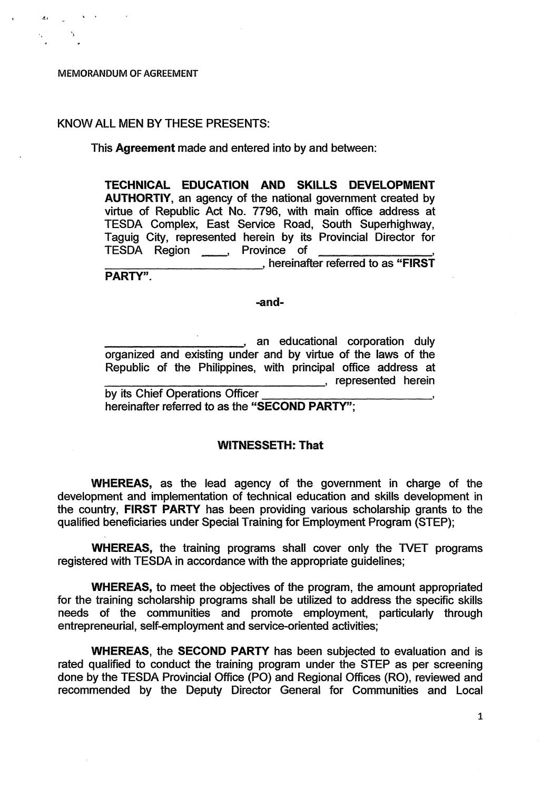#### **MEMORANDUM. OF AGREEMENT**

#### **KNOW ALL MEN BY THESE PRESENTS:**

#### **This Agreement made and entered into by and between:**

**TECHNICAL EDUCATION AND SKILLS DEVELOPMENT AUTHORTIY, an agency of the national government created by virtue of Republic Act No. 7796, with main office address at TESDA Complex, East Service Road, South Superhighway, Taguig City, represented herein by its Provincial Director for**  TESDA Region **Province** of **hereinafter referred to as "FIRST"**, hereinafter referred to as "FIRST" **PARTY".** 

#### **-and-**

**diam** an educational corporation duly **organized and existing under and by virtue of the laws of the Republic of the Philippines, with principal office address at example 2** represented herein **by its Chief Operations Officer** 

**hereinafter referred to as the "SECOND PARTY";** 

#### **WITNESSETH: That**

**WHEREAS, as the lead agency of the government in charge of the development and implementation of technical education and skills development in the country, FIRST PARTY has been providing various scholarship grants to the qualified beneficiaries under Special Training for Employment Program (STEP);** 

**WHEREAS, the training programs shall cover only the TVET programs registered with TESDA in accordance with the appropriate guidelines;** 

**WHEREAS, to meet the objectives of the program, the amount appropriated for the training scholarship programs shall be utilized to address the specific skills needs of the communities and promote employment, particularly through entrepreneurial, self-employment and service-oriented activities;** 

**WHEREAS, the SECOND PARTY has been subjected to evaluation and is rated qualified to conduct the training program under the STEP as per screening done by the TESDA Provincial Office (PO) and Regional Offices (R0), reviewed and recommended by the Deputy Director General for Communities and Local** 

1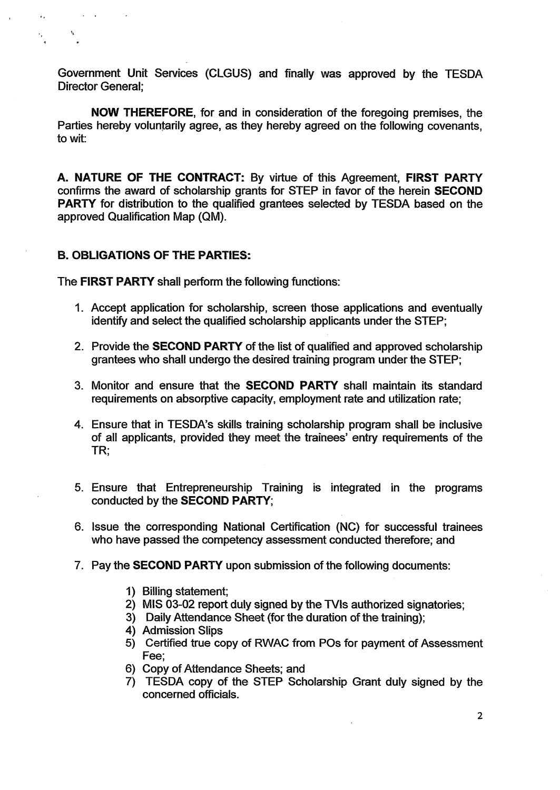**Government Unit Services (CLGUS) and finally was approved by the TESDA Director General;** 

**NOW THEREFORE, for and in consideration of the foregoing premises, the Parties hereby voluntarily agree, as they hereby agreed on the following covenants, to wit:** 

**A. NATURE OF THE CONTRACT: By virtue of this Agreement, FIRST PARTY confirms the award of scholarship grants for STEP in favor of the herein SECOND PARTY for distribution to the qualified grantees selected by TESDA based on the approved Qualification Map (QM).** 

## **B. OBLIGATIONS OF THE PARTIES:**

 $\sim 10^{-11}$  e

 $\ddot{\phantom{a}}$ 

**The FIRST PARTY shall perform the following functions:** 

- **1. Accept application for scholarship, screen those applications and eventually identify and select the qualified scholarship applicants under the STEP;**
- **2. Provide the SECOND PARTY of the list of qualified and approved scholarship grantees who shall undergo the desired training program under the STEP;**
- **3. Monitor and ensure that the SECOND PARTY shall maintain its standard requirements on absorptive capacity, employment rate and utilization rate;**
- **4. Ensure that in TESDA's skills training scholarship program shall be inclusive of all applicants, provided they meet the trainees' entry requirements of the TR;**
- **5. Ensure that Entrepreneurship Training is integrated in the programs conducted by the SECOND PARTY;**
- **6. Issue the corresponding National Certification (NC) for successful trainees who have passed the competency assessment conducted therefore; and**
- **7. Pay the SECOND PARTY upon submission of the following documents:** 
	- **1) Billing statement;**
	- 2) MIS 03-02 report duly signed by the TVIs authorized signatories;
	- **3) Daily Attendance Sheet (for the duration of the training);**
	- **4) Admission Slips**
	- **5) Certified true copy of RWAC from POs for payment of Assessment Fee;**
	- **6) Copy of Attendance Sheets; and**
	- **7) TESDA copy of the STEP Scholarship Grant duly signed by the concerned officials.**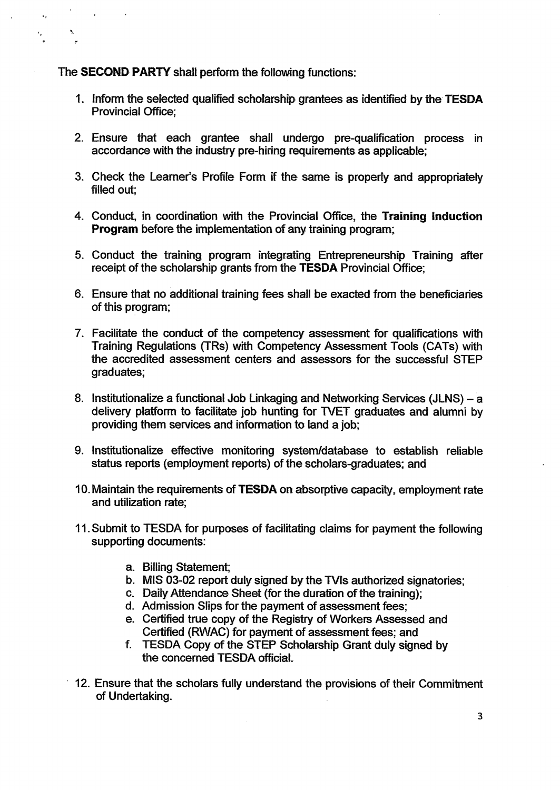## **The SECOND PARTY shall perform the following functions:**

 $\bullet_{\mathcal{I}}$ 

 $\frac{1}{\epsilon}$ 

- **1. inform the selected qualified scholarship grantees as identified by the TESDA Provincial Office;**
- **2. Ensure that each grantee shall undergo pre-qualification process in accordance with the industry pre-hiring requirements as applicable;**
- **3. Check the Learner's Profile Form if the same is properly and appropriately filled out;**
- **4. Conduct, in coordination with the Provincial Office, the Training Induction Program before the implementation of any training program;**
- **5. Conduct the training program integrating Entrepreneurship Training after receipt of the scholarship grants from the TESDA Provincial Office;**
- **6. Ensure that no additional training fees shall be exacted from the beneficiaries of this program;**
- **7. Facilitate the conduct of the competency assessment for qualifications with Training Regulations (TRs) with Competency Assessment Tools (CATs) with the accredited assessment centers and assessors for the successful STEP graduates;**
- **8. Institutionalize a functional Job Linkaging and Networking Services (JLNS) a delivery platform to facilitate job hunting for WET graduates and alumni by providing them services and information to land a job;**
- **9. Institutionalize effective monitoring system/database to establish reliable status reports (employment reports) of the scholars-graduates; and**
- **10. Maintain the requirements of TESDA on absorptive capacity, employment rate and utilization rate;**
- **11. Submit to TESDA for purposes of facilitating claims for payment the following supporting documents:** 
	- **a. Billing Statement;**
	- **b. MIS 03-02 report duly signed by the Nis authorized signatories;**
	- **c. Daily Attendance Sheet (for the duration of the training);**
	- **d. Admission Slips for the payment of assessment fees;**
	- **e. Certified true copy of the Registry of Workers Assessed and Certified (RWAC) for payment of assessment fees; and**
	- **f. TESDA Copy of the STEP Scholarship Grant duly signed by the concerned TESDA**
- **12. Ensure that the scholars fully understand the provisions of their Commitment of Undertaking.**

**3**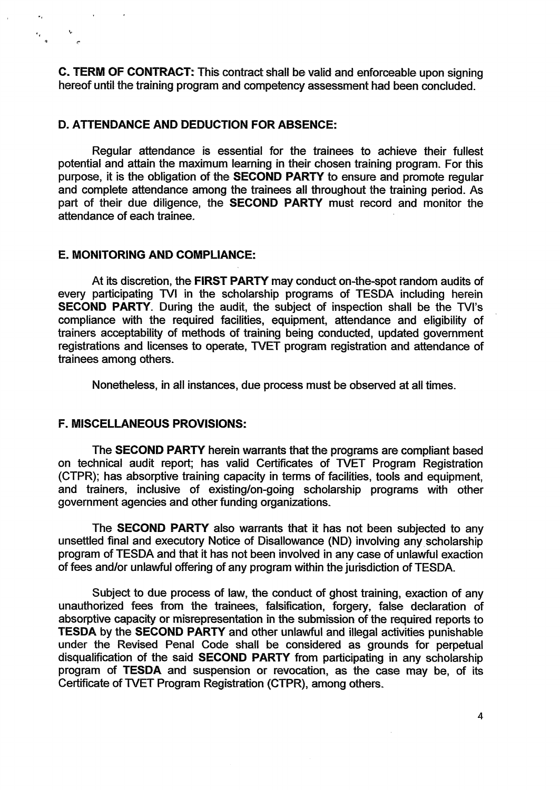**C. TERM OF CONTRACT: This contract shall be valid and enforceable upon signing hereof until the training program and competency assessment had been concluded.** 

### **D. ATTENDANCE AND DEDUCTION FOR ABSENCE:**

**Regular attendance is essential for the trainees to achieve their fullest potential and attain the maximum learning in their chosen training program. For this purpose, it is the obligation of the SECOND PARTY to ensure and promote regular and complete attendance among the trainees all throughout the training period. As part of their due diligence, the SECOND PARTY must record and monitor the attendance of each trainee.** 

### **E. MONITORING AND COMPLIANCE:**

 $\sigma_{\rm{m}}$ 

 $rac{1}{\epsilon}$ 

**At its discretion, the FIRST PARTY may conduct on-the-spot random audits of**  every participating TVI in the scholarship programs of TESDA including herein **SECOND PARTY. During the audit, the subject of inspection shall be the TVI's compliance with the required facilities, equipment, attendance and eligibility of trainers acceptability of methods of training being conducted, updated government registrations and licenses to operate, WET program registration and attendance of trainees among others.** 

**Nonetheless, in all instances, due process must be observed at all times.** 

#### **F. MISCELLANEOUS PROVISIONS:**

**The SECOND PARTY herein warrants that the programs are compliant based on technical audit report; has valid Certificates of WET Program Registration (CTPR); has absorptive training capacity in terms of facilities, tools and equipment, and trainers, inclusive of existing/on-going scholarship programs with other government agencies and other funding organizations.** 

**The SECOND PARTY also warrants that it has not been subjected to any unsettled final and executory Notice of Disallowance (ND) involving any scholarship program of TESDA and that it has not been involved in any case of unlawful exaction of fees and/or unlawful offering of any program within the jurisdiction of TESDA.** 

**Subject to due process of law, the conduct of ghost training, exaction of any unauthorized fees from the trainees, falsification, forgery, false declaration of absorptive capacity or misrepresentation in the submission of the required reports to TESDA by the SECOND PARTY and other unlawful and illegal activities punishable under the Revised Penal Code shall be considered as grounds for perpetual disqualification of the said SECOND PARTY from participating in any scholarship program of TESDA and suspension or revocation, as the case may be, of its Certificate of WET Program Registration (CTPR), among others.**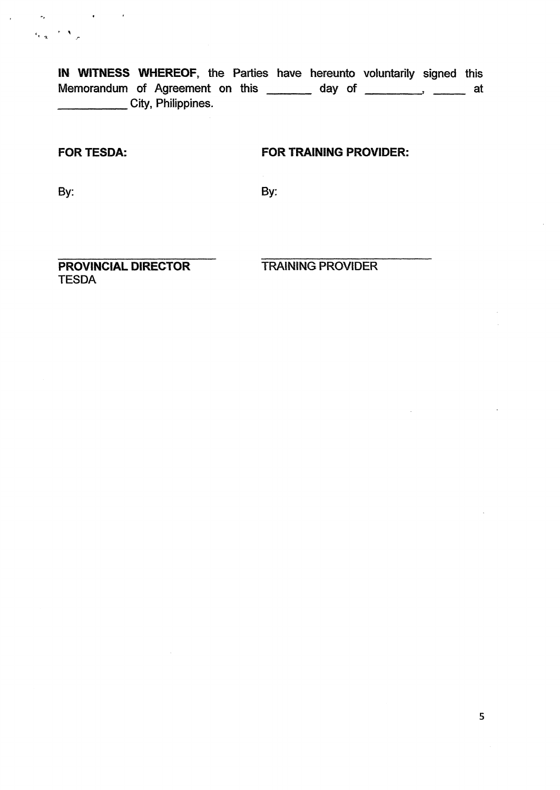**IN WITNESS WHEREOF, the Parties have hereunto voluntarily signed this**  Memorandum of Agreement on this <u>entitled</u> and day of <u>entitled</u> at at at at a **City, Philippines.** 

 $\sigma_{\mathbf{k}}$  , and  $\sigma_{\mathbf{k}}$  , and  $\sigma_{\mathbf{k}}$  , and  $\sigma_{\mathbf{k}}$ 

 $\label{eq:2} \begin{array}{cc} c_{\mathbf{r}-\mathbf{q}} & \mathbf{r} \in \mathbf{X} \\ \end{array}$ 

 $\mathcal{L}$ 

### **FOR TESDA: FOR TRAINING PROVIDER:**

**By: By:** 

**PROVINCIAL DIRECTOR TRAINING PROVIDER TESDA** 

 $\bar{z}$